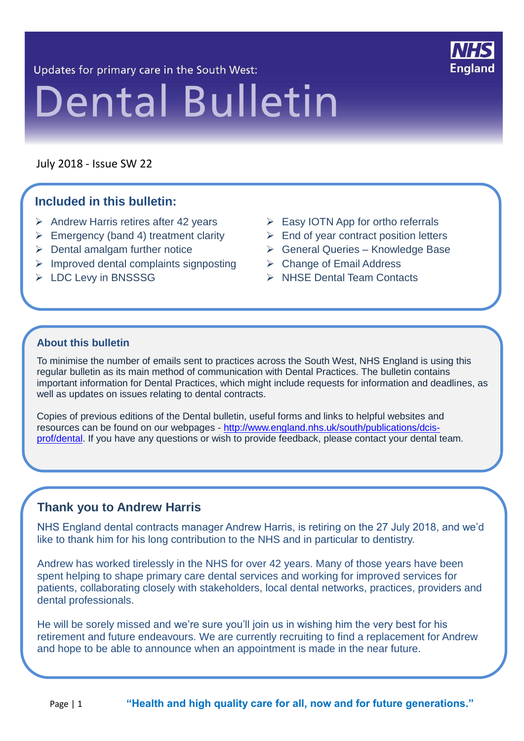Updates for primary care in the South West:



# **Dental Bulletin**

July 2018 - Issue SW 22

21 21

#### **Included in this bulletin:**

- ▶ Andrew Harris retires after 42 years > Easy IOTN App for ortho referrals
- $\triangleright$  Emergency (band 4) treatment clarity
- $\triangleright$  Dental amalgam further notice
- $\triangleright$  Improved dental complaints signposting
- > LDC Levy in BNSSSG
- 
- $\triangleright$  End of year contract position letters
	- General Queries Knowledge Base
- **► Change of Email Address** 
	- NHSE Dental Team Contacts

#### **About this bulletin**

To minimise the number of emails sent to practices across the South West, NHS England is using this regular bulletin as its main method of communication with Dental Practices. The bulletin contains important information for Dental Practices, which might include requests for information and deadlines, as well as updates on issues relating to dental contracts.

Copies of previous editions of the Dental bulletin, useful forms and links to helpful websites and resources can be found on our webpages - [http://www.england.nhs.uk/south/publications/dcis](http://www.england.nhs.uk/south/publications/dcis-prof/dental)[prof/dental.](http://www.england.nhs.uk/south/publications/dcis-prof/dental) If you have any questions or wish to provide feedback, please contact your dental team.

#### **Thank you to Andrew Harris**

NHS England dental contracts manager Andrew Harris, is retiring on the 27 July 2018, and we'd like to thank him for his long contribution to the NHS and in particular to dentistry.

Andrew has worked tirelessly in the NHS for over 42 years. Many of those years have been spent helping to shape primary care dental services and working for improved services for patients, collaborating closely with stakeholders, local dental networks, practices, providers and dental professionals.

He will be sorely missed and we're sure you'll join us in wishing him the very best for his retirement and future endeavours. We are currently recruiting to find a replacement for Andrew and hope to be able to announce when an appointment is made in the near future.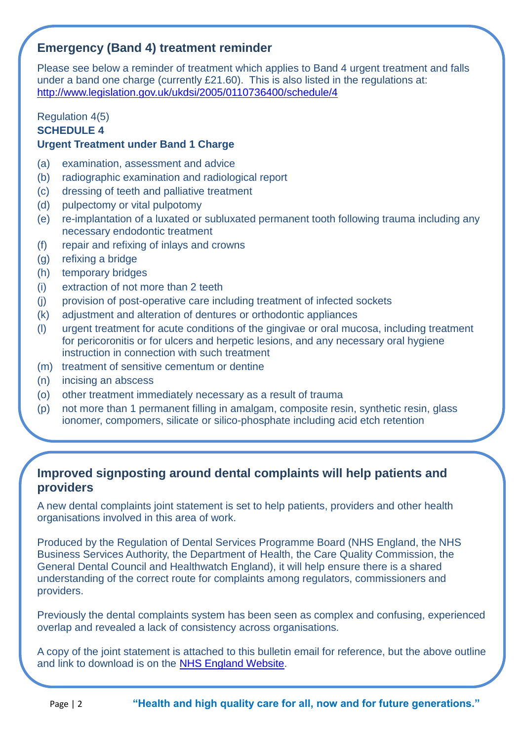#### **Emergency (Band 4) treatment reminder**

Please see below a reminder of treatment which applies to Band 4 urgent treatment and falls under a band one charge (currently £21.60). This is also listed in the regulations at: <http://www.legislation.gov.uk/ukdsi/2005/0110736400/schedule/4>

## Regulation 4(5)

#### **SCHEDULE 4**

#### **Urgent Treatment under Band 1 Charge**

- (a) examination, assessment and advice
- (b) radiographic examination and radiological report
- (c) dressing of teeth and palliative treatment
- (d) pulpectomy or vital pulpotomy
- (e) re-implantation of a luxated or subluxated permanent tooth following trauma including any necessary endodontic treatment
- (f) repair and refixing of inlays and crowns
- (g) refixing a bridge
- (h) temporary bridges
- (i) extraction of not more than 2 teeth
- (j) provision of post-operative care including treatment of infected sockets
- (k) adjustment and alteration of dentures or orthodontic appliances
- (l) urgent treatment for acute conditions of the gingivae or oral mucosa, including treatment for pericoronitis or for ulcers and herpetic lesions, and any necessary oral hygiene instruction in connection with such treatment
- (m) treatment of sensitive cementum or dentine
- (n) incising an abscess
- (o) other treatment immediately necessary as a result of trauma
- (p) not more than 1 permanent filling in amalgam, composite resin, synthetic resin, glass ionomer, compomers, silicate or silico-phosphate including acid etch retention

#### **Improved signposting around dental complaints will help patients and providers**

A new dental complaints joint statement is set to help patients, providers and other health organisations involved in this area of work.

Produced by the Regulation of Dental Services Programme Board (NHS England, the NHS Business Services Authority, the Department of Health, the Care Quality Commission, the General Dental Council and Healthwatch England), it will help ensure there is a shared understanding of the correct route for complaints among regulators, commissioners and providers.

Previously the dental complaints system has been seen as complex and confusing, experienced overlap and revealed a lack of consistency across organisations.

A copy of the joint statement is attached to this bulletin email for reference, but the above outline and link to download is on the [NHS England Website.](https://www.england.nhs.uk/commissioning/primary-care/dental/dental-policies-2/)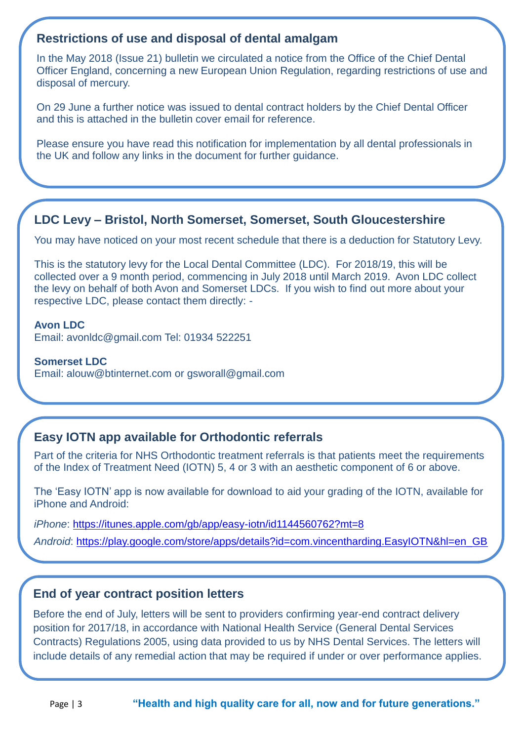#### **Restrictions of use and disposal of dental amalgam**

In the May 2018 (Issue 21) bulletin we circulated a notice from the Office of the Chief Dental Officer England, concerning a new European Union Regulation, regarding restrictions of use and disposal of mercury.

On 29 June a further notice was issued to dental contract holders by the Chief Dental Officer and this is attached in the bulletin cover email for reference.

Please ensure you have read this notification for implementation by all dental professionals in the UK and follow any links in the document for further guidance.

#### **LDC Levy – Bristol, North Somerset, Somerset, South Gloucestershire**

You may have noticed on your most recent schedule that there is a deduction for Statutory Levy.

This is the statutory levy for the Local Dental Committee (LDC). For 2018/19, this will be collected over a 9 month period, commencing in July 2018 until March 2019. Avon LDC collect the levy on behalf of both Avon and Somerset LDCs. If you wish to find out more about your respective LDC, please contact them directly: -

#### **Avon LDC**

Email: avonldc@gmail.com Tel: 01934 522251

**Somerset LDC** Email: alouw@btinternet.com or gsworall@gmail.com

#### **Easy IOTN app available for Orthodontic referrals**

Part of the criteria for NHS Orthodontic treatment referrals is that patients meet the requirements of the Index of Treatment Need (IOTN) 5, 4 or 3 with an aesthetic component of 6 or above.

The 'Easy IOTN' app is now available for download to aid your grading of the IOTN, available for iPhone and Android:

*iPhone*: <https://itunes.apple.com/gb/app/easy-iotn/id1144560762?mt=8>

*Android*: [https://play.google.com/store/apps/details?id=com.vincentharding.EasyIOTN&hl=en\\_GB](https://play.google.com/store/apps/details?id=com.vincentharding.EasyIOTN&hl=en_GB)

#### **End of year contract position letters**

Before the end of July, letters will be sent to providers confirming year-end contract delivery position for 2017/18, in accordance with National Health Service (General Dental Services Contracts) Regulations 2005, using data provided to us by NHS Dental Services. The letters will include details of any remedial action that may be required if under or over performance applies.